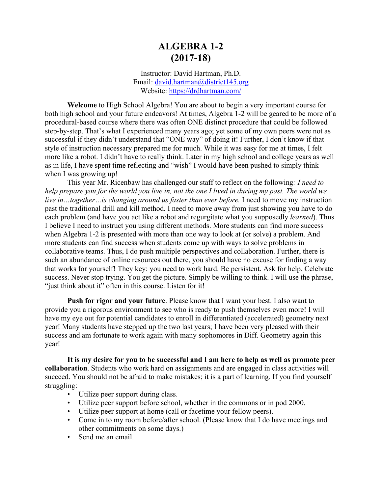# **ALGEBRA 1-2 (2017-18)**

Instructor: David Hartman, Ph.D. Email: david.hartman@district145.org Website: https://drdhartman.com/

**Welcome** to High School Algebra! You are about to begin a very important course for both high school and your future endeavors! At times, Algebra 1-2 will be geared to be more of a procedural-based course where there was often ONE distinct procedure that could be followed step-by-step. That's what I experienced many years ago; yet some of my own peers were not as successful if they didn't understand that "ONE way" of doing it! Further, I don't know if that style of instruction necessary prepared me for much. While it was easy for me at times, I felt more like a robot. I didn't have to really think. Later in my high school and college years as well as in life, I have spent time reflecting and "wish" I would have been pushed to simply think when I was growing up!

This year Mr. Ricenbaw has challenged our staff to reflect on the following*: I need to help prepare you for the world you live in, not the one I lived in during my past. The world we live in…together…is changing around us faster than ever before.* I need to move my instruction past the traditional drill and kill method. I need to move away from just showing you have to do each problem (and have you act like a robot and regurgitate what you supposedly *learned*). Thus I believe I need to instruct you using different methods. More students can find more success when Algebra 1-2 is presented with more than one way to look at (or solve) a problem. And more students can find success when students come up with ways to solve problems in collaborative teams. Thus, I do push multiple perspectives and collaboration. Further, there is such an abundance of online resources out there, you should have no excuse for finding a way that works for yourself! They key: you need to work hard. Be persistent. Ask for help. Celebrate success. Never stop trying. You get the picture. Simply be willing to think. I will use the phrase, "just think about it" often in this course. Listen for it!

**Push for rigor and your future**. Please know that I want your best. I also want to provide you a rigorous environment to see who is ready to push themselves even more! I will have my eye out for potential candidates to enroll in differentiated (accelerated) geometry next year! Many students have stepped up the two last years; I have been very pleased with their success and am fortunate to work again with many sophomores in Diff. Geometry again this year!

**It is my desire for you to be successful and I am here to help as well as promote peer collaboration**. Students who work hard on assignments and are engaged in class activities will succeed. You should not be afraid to make mistakes; it is a part of learning. If you find yourself struggling:

- Utilize peer support during class.
- Utilize peer support before school, whether in the commons or in pod 2000.
- Utilize peer support at home (call or facetime your fellow peers).
- Come in to my room before/after school. (Please know that I do have meetings and other commitments on some days.)
- Send me an email.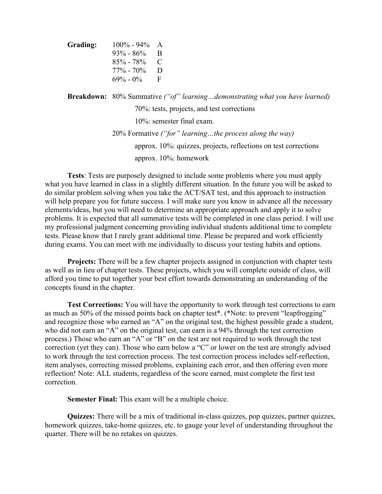| Grading: | $100\% - 94\%$ | A  |
|----------|----------------|----|
|          | $93\% - 86\%$  | B  |
|          | $85\% - 78\%$  | C  |
|          | $77\% - 70\%$  | D  |
|          | $69\% - 0\%$   | F. |

**Breakdown:** 80% Summative *("of" learning…demonstrating what you have learned)* 70%: tests, projects, and test corrections 10%: semester final exam. 20% Formative *("for" learning…the process along the way)* approx. 10%: quizzes, projects, reflections on test corrections approx. 10%: homework

**Tests**: Tests are purposely designed to include some problems where you must apply what you have learned in class in a slightly different situation. In the future you will be asked to do similar problem solving when you take the ACT/SAT test, and this approach to instruction will help prepare you for future success. I will make sure you know in advance all the necessary elements/ideas, but you will need to determine an appropriate approach and apply it to solve problems. It is expected that all summative tests will be completed in one class period. I will use my professional judgment concerning providing individual students additional time to complete tests. Please know that I rarely grant additional time. Please be prepared and work efficiently during exams. You can meet with me individually to discuss your testing habits and options.

**Projects:** There will be a few chapter projects assigned in conjunction with chapter tests as well as in lieu of chapter tests. These projects, which you will complete outside of class, will afford you time to put together your best effort towards demonstrating an understanding of the concepts found in the chapter.

**Test Corrections:** You will have the opportunity to work through test corrections to earn as much as 50% of the missed points back on chapter test\*. (\*Note: to prevent "leapfrogging" and recognize those who earned an "A" on the original test, the highest possible grade a student, who did not earn an "A" on the original test, can earn is a 94% through the test correction process.) Those who earn an "A" or "B" on the test are not required to work through the test correction (yet they can). Those who earn below a "C" or lower on the test are strongly advised to work through the test correction process. The test correction process includes self-reflection, item analyses, correcting missed problems, explaining each error, and then offering even more reflection! Note: ALL students, regardless of the score earned, must complete the first test correction.

**Semester Final:** This exam will be a multiple choice.

**Quizzes:** There will be a mix of traditional in-class quizzes, pop quizzes, partner quizzes, homework quizzes, take-home quizzes, etc. to gauge your level of understanding throughout the quarter. There will be no retakes on quizzes.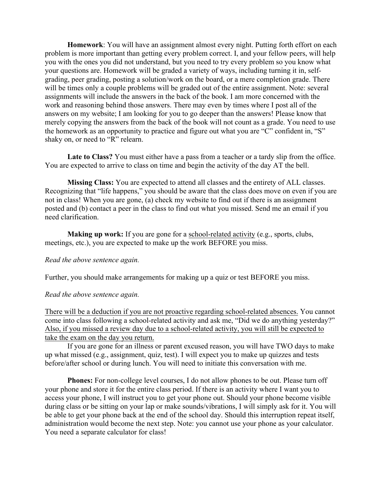**Homework**: You will have an assignment almost every night. Putting forth effort on each problem is more important than getting every problem correct. I, and your fellow peers, will help you with the ones you did not understand, but you need to try every problem so you know what your questions are. Homework will be graded a variety of ways, including turning it in, selfgrading, peer grading, posting a solution/work on the board, or a mere completion grade. There will be times only a couple problems will be graded out of the entire assignment. Note: several assignments will include the answers in the back of the book. I am more concerned with the work and reasoning behind those answers. There may even by times where I post all of the answers on my website; I am looking for you to go deeper than the answers! Please know that merely copying the answers from the back of the book will not count as a grade. You need to use the homework as an opportunity to practice and figure out what you are "C" confident in, "S" shaky on, or need to "R" relearn.

**Late to Class?** You must either have a pass from a teacher or a tardy slip from the office. You are expected to arrive to class on time and begin the activity of the day AT the bell.

**Missing Class:** You are expected to attend all classes and the entirety of ALL classes. Recognizing that "life happens," you should be aware that the class does move on even if you are not in class! When you are gone, (a) check my website to find out if there is an assignment posted and (b) contact a peer in the class to find out what you missed. Send me an email if you need clarification.

**Making up work:** If you are gone for a school-related activity (e.g., sports, clubs, meetings, etc.), you are expected to make up the work BEFORE you miss.

### *Read the above sentence again.*

Further, you should make arrangements for making up a quiz or test BEFORE you miss.

### *Read the above sentence again.*

There will be a deduction if you are not proactive regarding school-related absences. You cannot come into class following a school-related activity and ask me, "Did we do anything yesterday?" Also, if you missed a review day due to a school-related activity, you will still be expected to take the exam on the day you return.

If you are gone for an illness or parent excused reason, you will have TWO days to make up what missed (e.g., assignment, quiz, test). I will expect you to make up quizzes and tests before/after school or during lunch. You will need to initiate this conversation with me.

Phones: For non-college level courses, I do not allow phones to be out. Please turn off your phone and store it for the entire class period. If there is an activity where I want you to access your phone, I will instruct you to get your phone out. Should your phone become visible during class or be sitting on your lap or make sounds/vibrations, I will simply ask for it. You will be able to get your phone back at the end of the school day. Should this interruption repeat itself, administration would become the next step. Note: you cannot use your phone as your calculator. You need a separate calculator for class!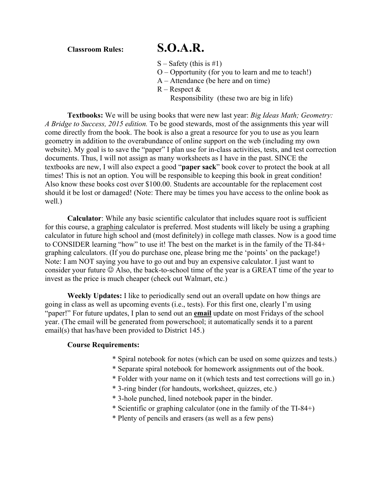**Classroom Rules: S.O.A.R.**

- $S -$ Safety (this is #1)
- O Opportunity (for you to learn and me to teach!)
- A Attendance (be here and on time)
- $R -$ Respect  $\&$ 
	- Responsibility (these two are big in life)

**Textbooks:** We will be using books that were new last year: *Big Ideas Math; Geometry: A Bridge to Success, 2015 edition.* To be good stewards, most of the assignments this year will come directly from the book. The book is also a great a resource for you to use as you learn geometry in addition to the overabundance of online support on the web (including my own website). My goal is to save the "paper" I plan use for in-class activities, tests, and test correction documents. Thus, I will not assign as many worksheets as I have in the past. SINCE the textbooks are new, I will also expect a good "**paper sack**" book cover to protect the book at all times! This is not an option. You will be responsible to keeping this book in great condition! Also know these books cost over \$100.00. Students are accountable for the replacement cost should it be lost or damaged! (Note: There may be times you have access to the online book as well.)

**Calculator**: While any basic scientific calculator that includes square root is sufficient for this course, a graphing calculator is preferred. Most students will likely be using a graphing calculator in future high school and (most definitely) in college math classes. Now is a good time to CONSIDER learning "how" to use it! The best on the market is in the family of the TI-84+ graphing calculators. (If you do purchase one, please bring me the 'points' on the package!) Note: I am NOT saying you have to go out and buy an expensive calculator. I just want to consider your future  $\odot$  Also, the back-to-school time of the year is a GREAT time of the year to invest as the price is much cheaper (check out Walmart, etc.)

**Weekly Updates:** I like to periodically send out an overall update on how things are going in class as well as upcoming events (i.e., tests). For this first one, clearly I'm using "paper!" For future updates, I plan to send out an **email** update on most Fridays of the school year. (The email will be generated from powerschool; it automatically sends it to a parent email(s) that has/have been provided to District 145.)

### **Course Requirements:**

- \* Spiral notebook for notes (which can be used on some quizzes and tests.)
- \* Separate spiral notebook for homework assignments out of the book.
- \* Folder with your name on it (which tests and test corrections will go in.)
- \* 3-ring binder (for handouts, worksheet, quizzes, etc.)
- \* 3-hole punched, lined notebook paper in the binder.
- \* Scientific or graphing calculator (one in the family of the TI-84+)
- \* Plenty of pencils and erasers (as well as a few pens)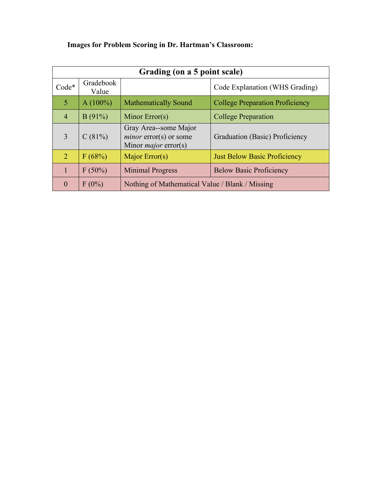| Grading (on a 5 point scale) |                    |                                                                                  |                                        |
|------------------------------|--------------------|----------------------------------------------------------------------------------|----------------------------------------|
| $Code*$                      | Gradebook<br>Value |                                                                                  | Code Explanation (WHS Grading)         |
| 5                            | $A(100\%)$         | <b>Mathematically Sound</b>                                                      | <b>College Preparation Proficiency</b> |
| $\overline{4}$               | B(91%)             | Minor $Error(s)$                                                                 | <b>College Preparation</b>             |
| 3                            | C(81%)             | Gray Area--some Major<br>$minor$ error(s) or some<br>Minor <i>major</i> error(s) | Graduation (Basic) Proficiency         |
| $\overline{2}$               | F(68%)             | Major Error(s)                                                                   | <b>Just Below Basic Proficiency</b>    |
| $\mathbf{1}$                 | F(50%)             | <b>Minimal Progress</b>                                                          | <b>Below Basic Proficiency</b>         |
| $\overline{0}$               | $F(0\%)$           | Nothing of Mathematical Value / Blank / Missing                                  |                                        |

# **Images for Problem Scoring in Dr. Hartman's Classroom:**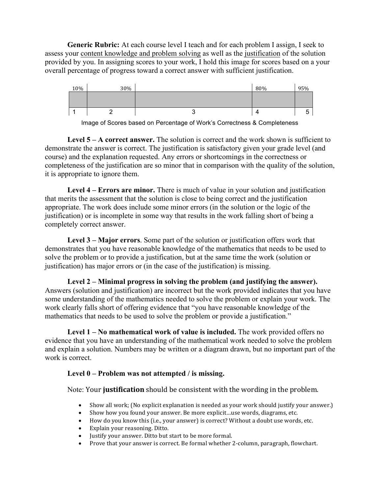**Generic Rubric:** At each course level I teach and for each problem I assign, I seek to assess your content knowledge and problem solving as well as the justification of the solution provided by you. In assigning scores to your work, I hold this image for scores based on a your overall percentage of progress toward a correct answer with sufficient justification.



Image of Scores based on Percentage of Work's Correctness & Completeness

**Level 5 – A correct answer.** The solution is correct and the work shown is sufficient to demonstrate the answer is correct. The justification is satisfactory given your grade level (and course) and the explanation requested. Any errors or shortcomings in the correctness or completeness of the justification are so minor that in comparison with the quality of the solution, it is appropriate to ignore them.

**Level 4 – Errors are minor.** There is much of value in your solution and justification that merits the assessment that the solution is close to being correct and the justification appropriate. The work does include some minor errors (in the solution or the logic of the justification) or is incomplete in some way that results in the work falling short of being a completely correct answer.

**Level 3 – Major errors**. Some part of the solution or justification offers work that demonstrates that you have reasonable knowledge of the mathematics that needs to be used to solve the problem or to provide a justification, but at the same time the work (solution or justification) has major errors or (in the case of the justification) is missing.

**Level 2 – Minimal progress in solving the problem (and justifying the answer).**  Answers (solution and justification) are incorrect but the work provided indicates that you have some understanding of the mathematics needed to solve the problem or explain your work. The work clearly falls short of offering evidence that "you have reasonable knowledge of the mathematics that needs to be used to solve the problem or provide a justification."

**Level 1 – No mathematical work of value is included.** The work provided offers no evidence that you have an understanding of the mathematical work needed to solve the problem and explain a solution. Numbers may be written or a diagram drawn, but no important part of the work is correct.

## **Level 0 – Problem was not attempted / is missing.**

Note: Your **justification** should be consistent with the wording in the problem.

- Show all work; (No explicit explanation is needed as your work should justify your answer.)
- Show how you found your answer. Be more explicit...use words, diagrams, etc.
- How do you know this (i.e., your answer) is correct? Without a doubt use words, etc.
- Explain your reasoning. Ditto.
- Justify your answer. Ditto but start to be more formal.
- Prove that your answer is correct. Be formal whether 2-column, paragraph, flowchart.